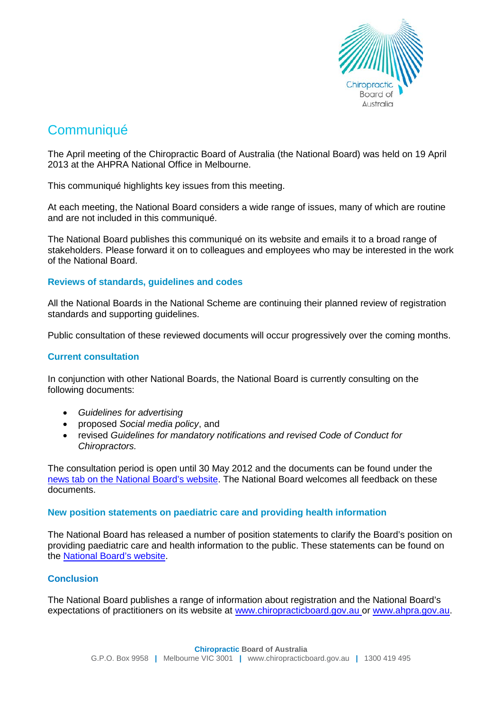

# **Communiqué**

The April meeting of the Chiropractic Board of Australia (the National Board) was held on 19 April 2013 at the AHPRA National Office in Melbourne.

This communiqué highlights key issues from this meeting.

At each meeting, the National Board considers a wide range of issues, many of which are routine and are not included in this communiqué.

The National Board publishes this communiqué on its website and emails it to a broad range of stakeholders. Please forward it on to colleagues and employees who may be interested in the work of the National Board.

## **Reviews of standards, guidelines and codes**

All the National Boards in the National Scheme are continuing their planned review of registration standards and supporting guidelines.

Public consultation of these reviewed documents will occur progressively over the coming months.

### **Current consultation**

In conjunction with other National Boards, the National Board is currently consulting on the following documents:

- *Guidelines for advertising*
- proposed *Social media policy*, and
- revised *Guidelines for mandatory notifications and revised Code of Conduct for Chiropractors.*

The consultation period is open until 30 May 2012 and the documents can be found under the [news tab on the National Board's website.](http://www.chiropracticboard.gov.au/News/Current-Consultations.aspx) The National Board welcomes all feedback on these documents.

#### **New position statements on paediatric care and providing health information**

The National Board has released a number of position statements to clarify the Board's position on providing paediatric care and health information to the public. These statements can be found on the [National Board's website.](http://www.chiropacticboard.gov.au/)

## **Conclusion**

The National Board publishes a range of information about registration and the National Board's expectations of practitioners on its website at www.chiropracticboard.gov.au or www.ahpra.gov.au.